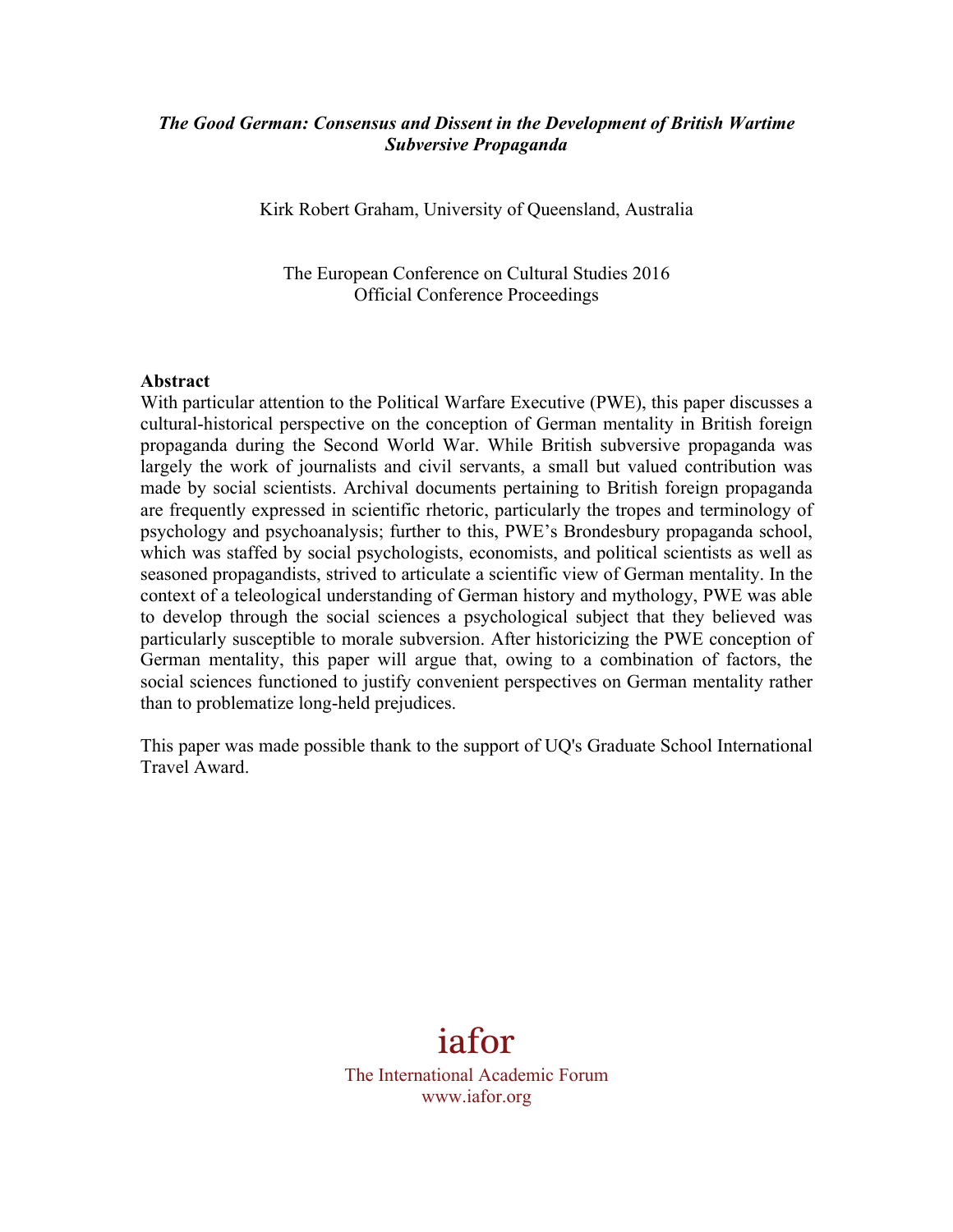# *The Good German: Consensus and Dissent in the Development of British Wartime Subversive Propaganda*

Kirk Robert Graham, University of Queensland, Australia

The European Conference on Cultural Studies 2016 Official Conference Proceedings

#### **Abstract**

With particular attention to the Political Warfare Executive (PWE), this paper discusses a cultural-historical perspective on the conception of German mentality in British foreign propaganda during the Second World War. While British subversive propaganda was largely the work of journalists and civil servants, a small but valued contribution was made by social scientists. Archival documents pertaining to British foreign propaganda are frequently expressed in scientific rhetoric, particularly the tropes and terminology of psychology and psychoanalysis; further to this, PWE's Brondesbury propaganda school, which was staffed by social psychologists, economists, and political scientists as well as seasoned propagandists, strived to articulate a scientific view of German mentality. In the context of a teleological understanding of German history and mythology, PWE was able to develop through the social sciences a psychological subject that they believed was particularly susceptible to morale subversion. After historicizing the PWE conception of German mentality, this paper will argue that, owing to a combination of factors, the social sciences functioned to justify convenient perspectives on German mentality rather than to problematize long-held prejudices.

This paper was made possible thank to the support of UQ's Graduate School International Travel Award.

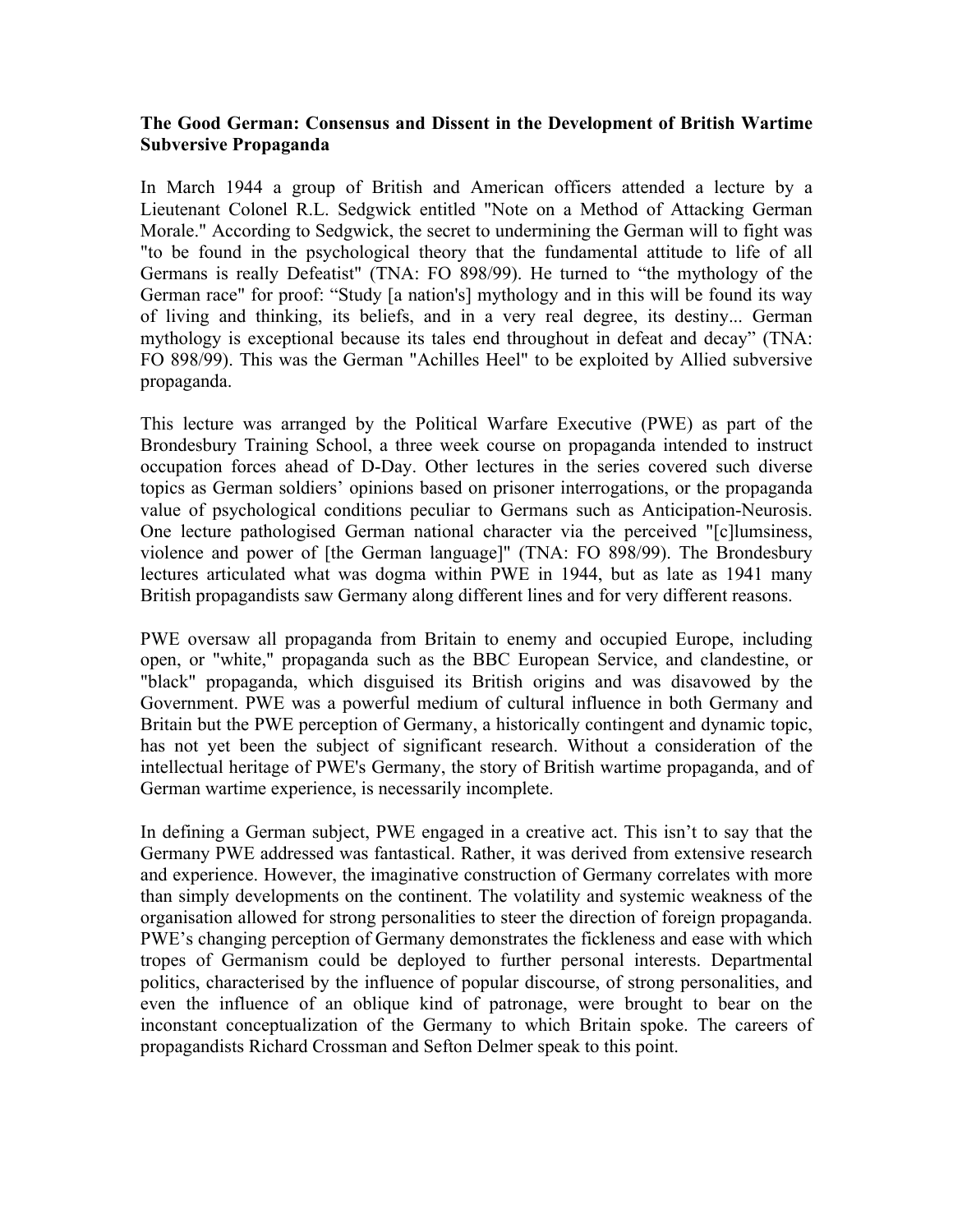### **The Good German: Consensus and Dissent in the Development of British Wartime Subversive Propaganda**

In March 1944 a group of British and American officers attended a lecture by a Lieutenant Colonel R.L. Sedgwick entitled "Note on a Method of Attacking German Morale." According to Sedgwick, the secret to undermining the German will to fight was "to be found in the psychological theory that the fundamental attitude to life of all Germans is really Defeatist" (TNA: FO 898/99). He turned to "the mythology of the German race" for proof: "Study [a nation's] mythology and in this will be found its way of living and thinking, its beliefs, and in a very real degree, its destiny... German mythology is exceptional because its tales end throughout in defeat and decay" (TNA: FO 898/99). This was the German "Achilles Heel" to be exploited by Allied subversive propaganda.

This lecture was arranged by the Political Warfare Executive (PWE) as part of the Brondesbury Training School, a three week course on propaganda intended to instruct occupation forces ahead of D-Day. Other lectures in the series covered such diverse topics as German soldiers' opinions based on prisoner interrogations, or the propaganda value of psychological conditions peculiar to Germans such as Anticipation-Neurosis. One lecture pathologised German national character via the perceived "[c]lumsiness, violence and power of [the German language]" (TNA: FO 898/99). The Brondesbury lectures articulated what was dogma within PWE in 1944, but as late as 1941 many British propagandists saw Germany along different lines and for very different reasons.

PWE oversaw all propaganda from Britain to enemy and occupied Europe, including open, or "white," propaganda such as the BBC European Service, and clandestine, or "black" propaganda, which disguised its British origins and was disavowed by the Government. PWE was a powerful medium of cultural influence in both Germany and Britain but the PWE perception of Germany, a historically contingent and dynamic topic, has not yet been the subject of significant research. Without a consideration of the intellectual heritage of PWE's Germany, the story of British wartime propaganda, and of German wartime experience, is necessarily incomplete.

In defining a German subject, PWE engaged in a creative act. This isn't to say that the Germany PWE addressed was fantastical. Rather, it was derived from extensive research and experience. However, the imaginative construction of Germany correlates with more than simply developments on the continent. The volatility and systemic weakness of the organisation allowed for strong personalities to steer the direction of foreign propaganda. PWE's changing perception of Germany demonstrates the fickleness and ease with which tropes of Germanism could be deployed to further personal interests. Departmental politics, characterised by the influence of popular discourse, of strong personalities, and even the influence of an oblique kind of patronage, were brought to bear on the inconstant conceptualization of the Germany to which Britain spoke. The careers of propagandists Richard Crossman and Sefton Delmer speak to this point.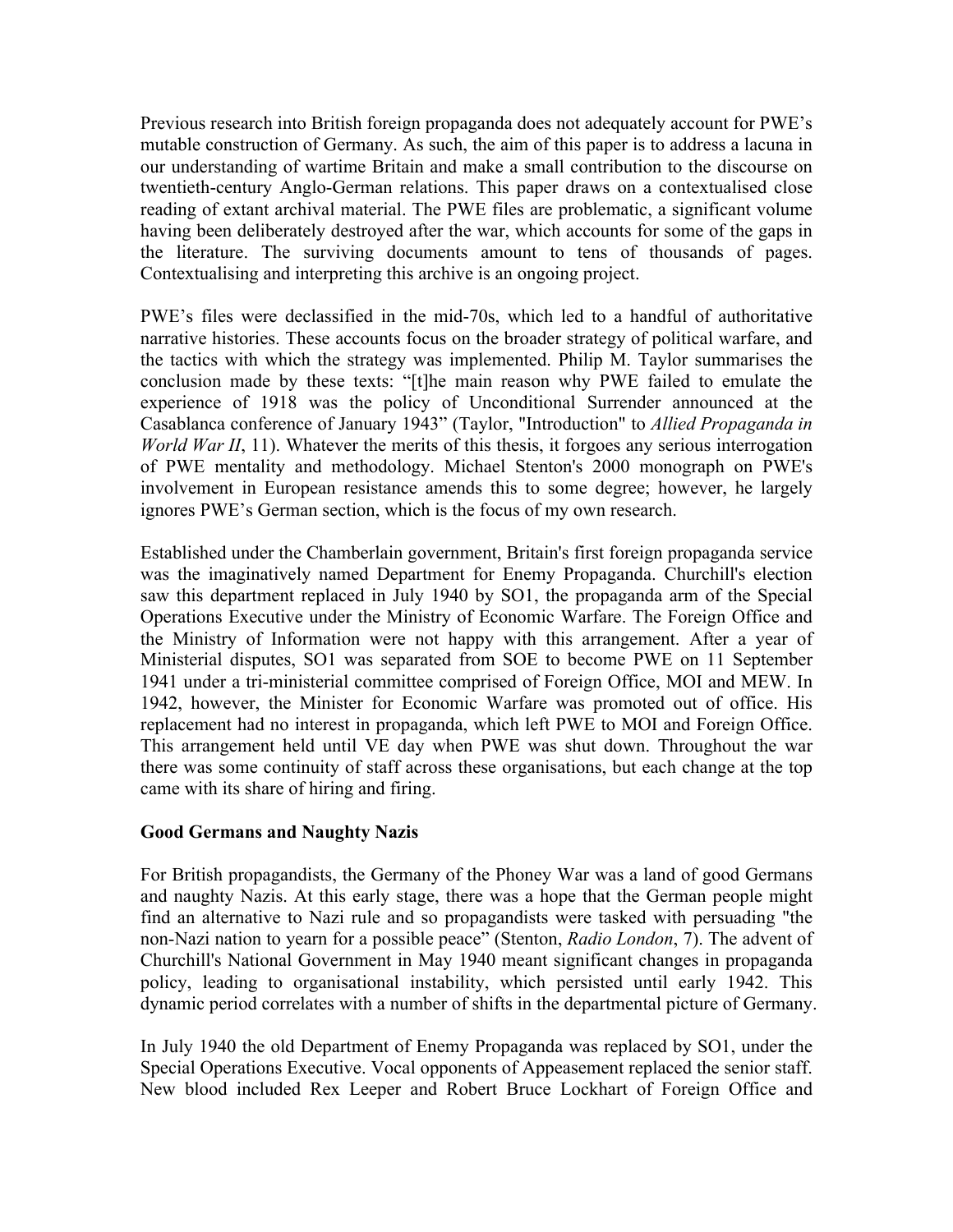Previous research into British foreign propaganda does not adequately account for PWE's mutable construction of Germany. As such, the aim of this paper is to address a lacuna in our understanding of wartime Britain and make a small contribution to the discourse on twentieth-century Anglo-German relations. This paper draws on a contextualised close reading of extant archival material. The PWE files are problematic, a significant volume having been deliberately destroyed after the war, which accounts for some of the gaps in the literature. The surviving documents amount to tens of thousands of pages. Contextualising and interpreting this archive is an ongoing project.

PWE's files were declassified in the mid-70s, which led to a handful of authoritative narrative histories. These accounts focus on the broader strategy of political warfare, and the tactics with which the strategy was implemented. Philip M. Taylor summarises the conclusion made by these texts: "[t]he main reason why PWE failed to emulate the experience of 1918 was the policy of Unconditional Surrender announced at the Casablanca conference of January 1943" (Taylor, "Introduction" to *Allied Propaganda in World War II*, 11). Whatever the merits of this thesis, it forgoes any serious interrogation of PWE mentality and methodology. Michael Stenton's 2000 monograph on PWE's involvement in European resistance amends this to some degree; however, he largely ignores PWE's German section, which is the focus of my own research.

Established under the Chamberlain government, Britain's first foreign propaganda service was the imaginatively named Department for Enemy Propaganda. Churchill's election saw this department replaced in July 1940 by SO1, the propaganda arm of the Special Operations Executive under the Ministry of Economic Warfare. The Foreign Office and the Ministry of Information were not happy with this arrangement. After a year of Ministerial disputes, SO1 was separated from SOE to become PWE on 11 September 1941 under a tri-ministerial committee comprised of Foreign Office, MOI and MEW. In 1942, however, the Minister for Economic Warfare was promoted out of office. His replacement had no interest in propaganda, which left PWE to MOI and Foreign Office. This arrangement held until VE day when PWE was shut down. Throughout the war there was some continuity of staff across these organisations, but each change at the top came with its share of hiring and firing.

# **Good Germans and Naughty Nazis**

For British propagandists, the Germany of the Phoney War was a land of good Germans and naughty Nazis. At this early stage, there was a hope that the German people might find an alternative to Nazi rule and so propagandists were tasked with persuading "the non-Nazi nation to yearn for a possible peace" (Stenton, *Radio London*, 7). The advent of Churchill's National Government in May 1940 meant significant changes in propaganda policy, leading to organisational instability, which persisted until early 1942. This dynamic period correlates with a number of shifts in the departmental picture of Germany.

In July 1940 the old Department of Enemy Propaganda was replaced by SO1, under the Special Operations Executive. Vocal opponents of Appeasement replaced the senior staff. New blood included Rex Leeper and Robert Bruce Lockhart of Foreign Office and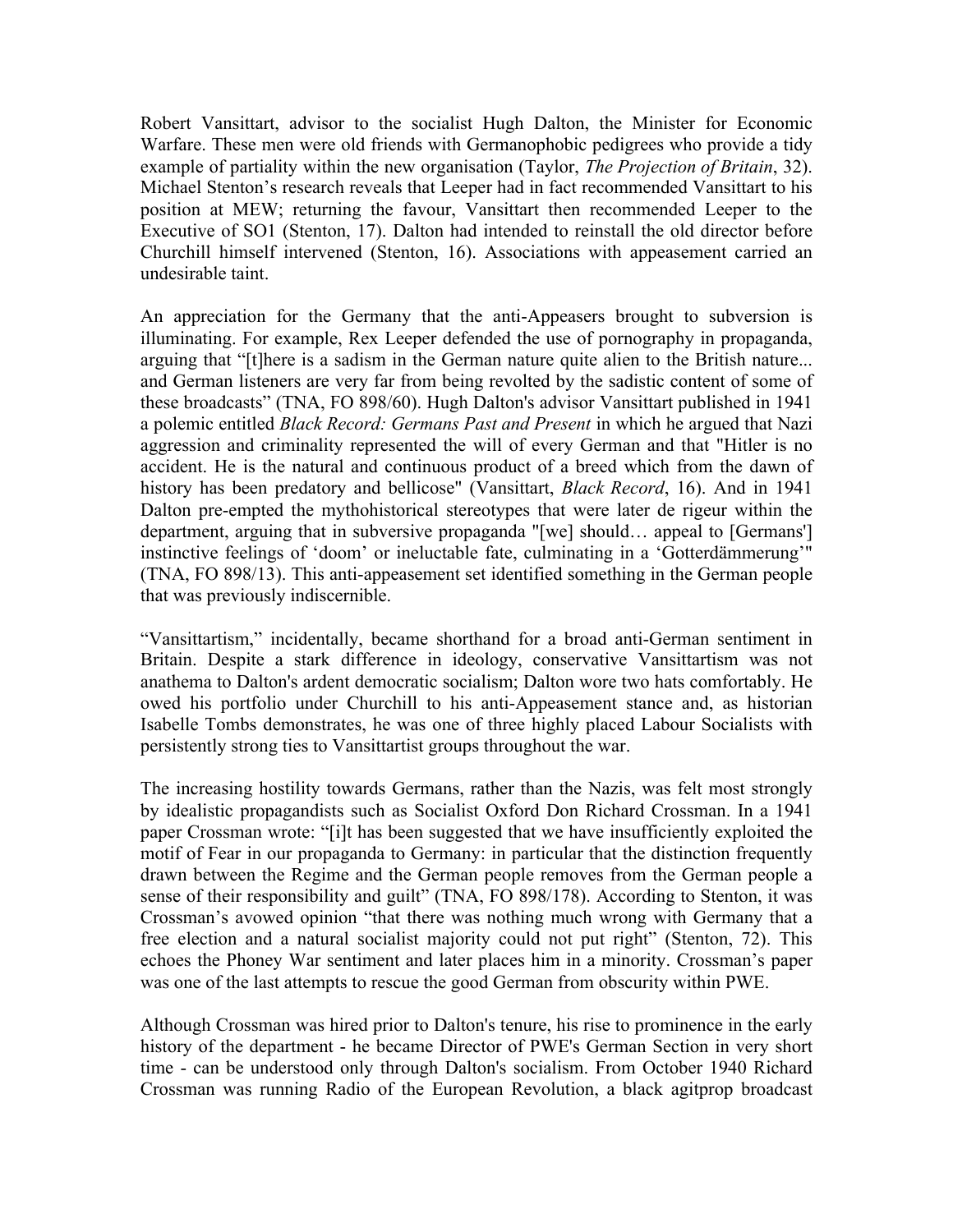Robert Vansittart, advisor to the socialist Hugh Dalton, the Minister for Economic Warfare. These men were old friends with Germanophobic pedigrees who provide a tidy example of partiality within the new organisation (Taylor, *The Projection of Britain*, 32). Michael Stenton's research reveals that Leeper had in fact recommended Vansittart to his position at MEW; returning the favour, Vansittart then recommended Leeper to the Executive of SO1 (Stenton, 17). Dalton had intended to reinstall the old director before Churchill himself intervened (Stenton, 16). Associations with appeasement carried an undesirable taint.

An appreciation for the Germany that the anti-Appeasers brought to subversion is illuminating. For example, Rex Leeper defended the use of pornography in propaganda, arguing that "[t]here is a sadism in the German nature quite alien to the British nature... and German listeners are very far from being revolted by the sadistic content of some of these broadcasts" (TNA, FO 898/60). Hugh Dalton's advisor Vansittart published in 1941 a polemic entitled *Black Record: Germans Past and Present* in which he argued that Nazi aggression and criminality represented the will of every German and that "Hitler is no accident. He is the natural and continuous product of a breed which from the dawn of history has been predatory and bellicose" (Vansittart, *Black Record*, 16). And in 1941 Dalton pre-empted the mythohistorical stereotypes that were later de rigeur within the department, arguing that in subversive propaganda "[we] should… appeal to [Germans'] instinctive feelings of 'doom' or ineluctable fate, culminating in a 'Gotterdämmerung'" (TNA, FO 898/13). This anti-appeasement set identified something in the German people that was previously indiscernible.

"Vansittartism," incidentally, became shorthand for a broad anti-German sentiment in Britain. Despite a stark difference in ideology, conservative Vansittartism was not anathema to Dalton's ardent democratic socialism; Dalton wore two hats comfortably. He owed his portfolio under Churchill to his anti-Appeasement stance and, as historian Isabelle Tombs demonstrates, he was one of three highly placed Labour Socialists with persistently strong ties to Vansittartist groups throughout the war.

The increasing hostility towards Germans, rather than the Nazis, was felt most strongly by idealistic propagandists such as Socialist Oxford Don Richard Crossman. In a 1941 paper Crossman wrote: "[i]t has been suggested that we have insufficiently exploited the motif of Fear in our propaganda to Germany: in particular that the distinction frequently drawn between the Regime and the German people removes from the German people a sense of their responsibility and guilt" (TNA, FO 898/178). According to Stenton, it was Crossman's avowed opinion "that there was nothing much wrong with Germany that a free election and a natural socialist majority could not put right" (Stenton, 72). This echoes the Phoney War sentiment and later places him in a minority. Crossman's paper was one of the last attempts to rescue the good German from obscurity within PWE.

Although Crossman was hired prior to Dalton's tenure, his rise to prominence in the early history of the department - he became Director of PWE's German Section in very short time - can be understood only through Dalton's socialism. From October 1940 Richard Crossman was running Radio of the European Revolution, a black agitprop broadcast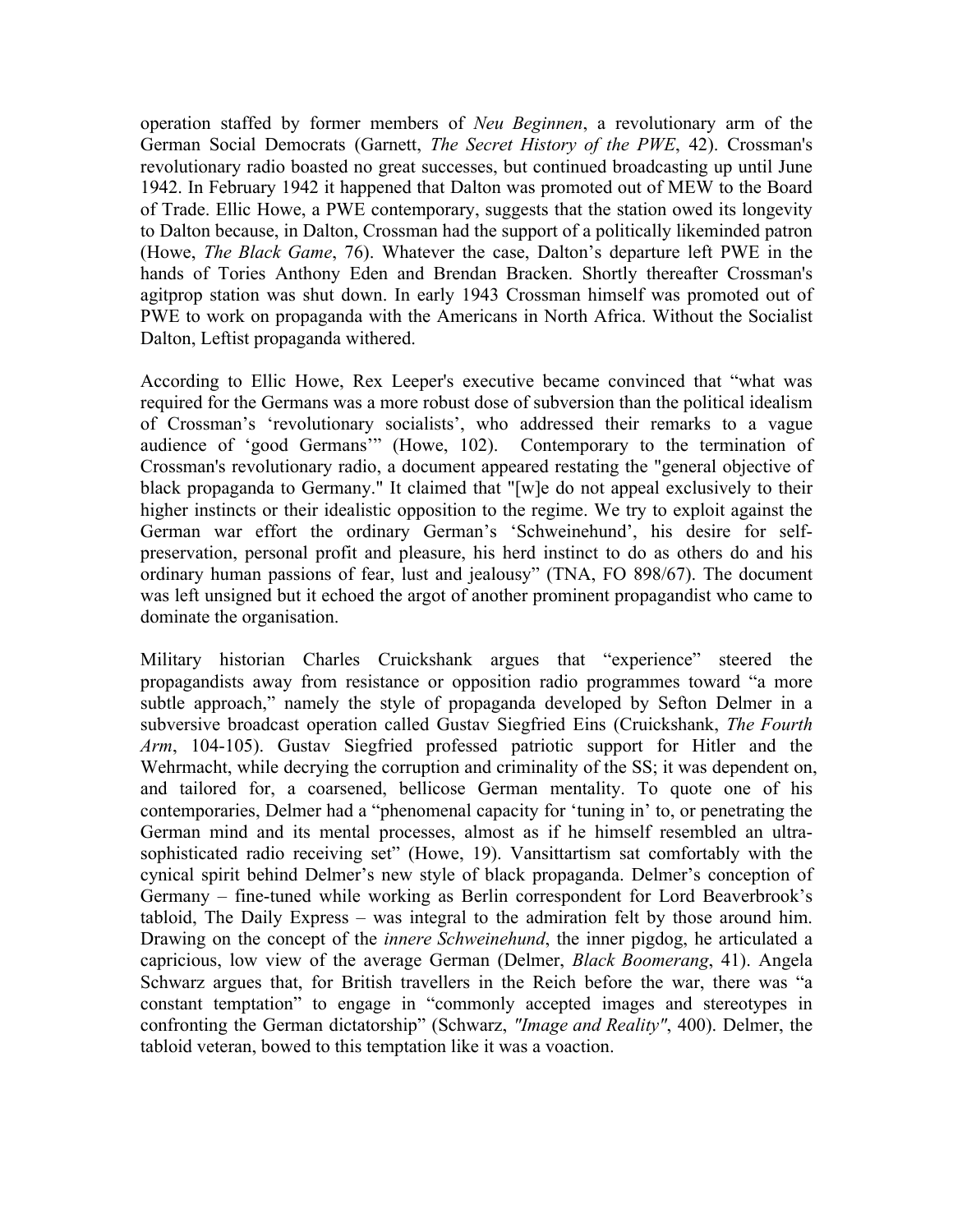operation staffed by former members of *Neu Beginnen*, a revolutionary arm of the German Social Democrats (Garnett, *The Secret History of the PWE*, 42). Crossman's revolutionary radio boasted no great successes, but continued broadcasting up until June 1942. In February 1942 it happened that Dalton was promoted out of MEW to the Board of Trade. Ellic Howe, a PWE contemporary, suggests that the station owed its longevity to Dalton because, in Dalton, Crossman had the support of a politically likeminded patron (Howe, *The Black Game*, 76). Whatever the case, Dalton's departure left PWE in the hands of Tories Anthony Eden and Brendan Bracken. Shortly thereafter Crossman's agitprop station was shut down. In early 1943 Crossman himself was promoted out of PWE to work on propaganda with the Americans in North Africa. Without the Socialist Dalton, Leftist propaganda withered.

According to Ellic Howe, Rex Leeper's executive became convinced that "what was required for the Germans was a more robust dose of subversion than the political idealism of Crossman's 'revolutionary socialists', who addressed their remarks to a vague audience of 'good Germans'" (Howe, 102). Contemporary to the termination of Crossman's revolutionary radio, a document appeared restating the "general objective of black propaganda to Germany." It claimed that "[w]e do not appeal exclusively to their higher instincts or their idealistic opposition to the regime. We try to exploit against the German war effort the ordinary German's 'Schweinehund', his desire for selfpreservation, personal profit and pleasure, his herd instinct to do as others do and his ordinary human passions of fear, lust and jealousy" (TNA, FO 898/67). The document was left unsigned but it echoed the argot of another prominent propagandist who came to dominate the organisation.

Military historian Charles Cruickshank argues that "experience" steered the propagandists away from resistance or opposition radio programmes toward "a more subtle approach," namely the style of propaganda developed by Sefton Delmer in a subversive broadcast operation called Gustav Siegfried Eins (Cruickshank, *The Fourth Arm*, 104-105). Gustav Siegfried professed patriotic support for Hitler and the Wehrmacht, while decrying the corruption and criminality of the SS; it was dependent on, and tailored for, a coarsened, bellicose German mentality. To quote one of his contemporaries, Delmer had a "phenomenal capacity for 'tuning in' to, or penetrating the German mind and its mental processes, almost as if he himself resembled an ultrasophisticated radio receiving set" (Howe, 19). Vansittartism sat comfortably with the cynical spirit behind Delmer's new style of black propaganda. Delmer's conception of Germany – fine-tuned while working as Berlin correspondent for Lord Beaverbrook's tabloid, The Daily Express – was integral to the admiration felt by those around him. Drawing on the concept of the *innere Schweinehund*, the inner pigdog, he articulated a capricious, low view of the average German (Delmer, *Black Boomerang*, 41). Angela Schwarz argues that, for British travellers in the Reich before the war, there was "a constant temptation" to engage in "commonly accepted images and stereotypes in confronting the German dictatorship" (Schwarz, *"Image and Reality"*, 400). Delmer, the tabloid veteran, bowed to this temptation like it was a voaction.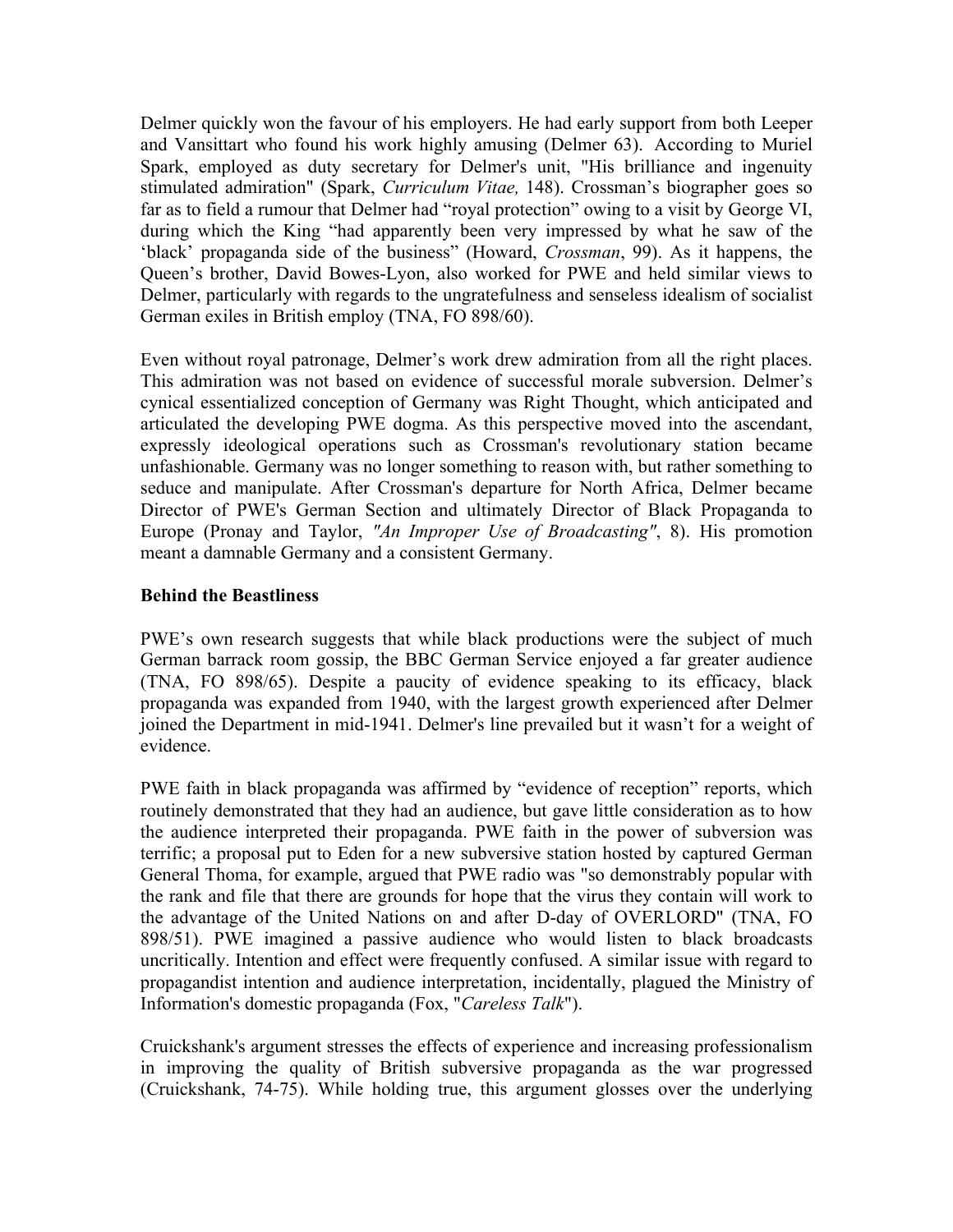Delmer quickly won the favour of his employers. He had early support from both Leeper and Vansittart who found his work highly amusing (Delmer 63). According to Muriel Spark, employed as duty secretary for Delmer's unit, "His brilliance and ingenuity stimulated admiration" (Spark, *Curriculum Vitae,* 148). Crossman's biographer goes so far as to field a rumour that Delmer had "royal protection" owing to a visit by George VI, during which the King "had apparently been very impressed by what he saw of the 'black' propaganda side of the business" (Howard, *Crossman*, 99). As it happens, the Queen's brother, David Bowes-Lyon, also worked for PWE and held similar views to Delmer, particularly with regards to the ungratefulness and senseless idealism of socialist German exiles in British employ (TNA, FO 898/60).

Even without royal patronage, Delmer's work drew admiration from all the right places. This admiration was not based on evidence of successful morale subversion. Delmer's cynical essentialized conception of Germany was Right Thought, which anticipated and articulated the developing PWE dogma. As this perspective moved into the ascendant, expressly ideological operations such as Crossman's revolutionary station became unfashionable. Germany was no longer something to reason with, but rather something to seduce and manipulate. After Crossman's departure for North Africa, Delmer became Director of PWE's German Section and ultimately Director of Black Propaganda to Europe (Pronay and Taylor, *"An Improper Use of Broadcasting"*, 8). His promotion meant a damnable Germany and a consistent Germany.

# **Behind the Beastliness**

PWE's own research suggests that while black productions were the subject of much German barrack room gossip, the BBC German Service enjoyed a far greater audience (TNA, FO 898/65). Despite a paucity of evidence speaking to its efficacy, black propaganda was expanded from 1940, with the largest growth experienced after Delmer joined the Department in mid-1941. Delmer's line prevailed but it wasn't for a weight of evidence.

PWE faith in black propaganda was affirmed by "evidence of reception" reports, which routinely demonstrated that they had an audience, but gave little consideration as to how the audience interpreted their propaganda. PWE faith in the power of subversion was terrific; a proposal put to Eden for a new subversive station hosted by captured German General Thoma, for example, argued that PWE radio was "so demonstrably popular with the rank and file that there are grounds for hope that the virus they contain will work to the advantage of the United Nations on and after D-day of OVERLORD" (TNA, FO 898/51). PWE imagined a passive audience who would listen to black broadcasts uncritically. Intention and effect were frequently confused. A similar issue with regard to propagandist intention and audience interpretation, incidentally, plagued the Ministry of Information's domestic propaganda (Fox, "*Careless Talk*").

Cruickshank's argument stresses the effects of experience and increasing professionalism in improving the quality of British subversive propaganda as the war progressed (Cruickshank, 74-75). While holding true, this argument glosses over the underlying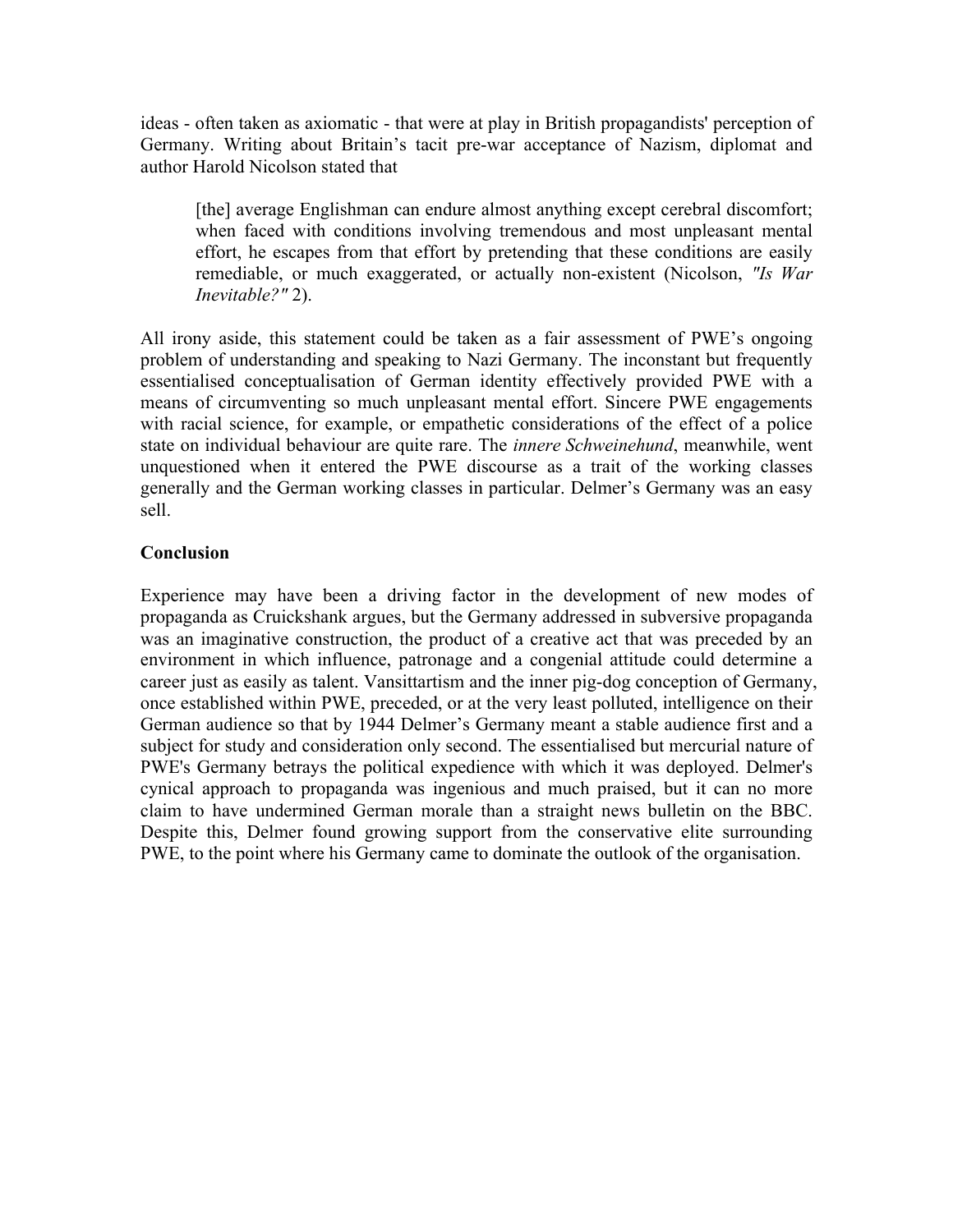ideas - often taken as axiomatic - that were at play in British propagandists' perception of Germany. Writing about Britain's tacit pre-war acceptance of Nazism, diplomat and author Harold Nicolson stated that

[the] average Englishman can endure almost anything except cerebral discomfort; when faced with conditions involving tremendous and most unpleasant mental effort, he escapes from that effort by pretending that these conditions are easily remediable, or much exaggerated, or actually non-existent (Nicolson, *"Is War Inevitable?"* 2).

All irony aside, this statement could be taken as a fair assessment of PWE's ongoing problem of understanding and speaking to Nazi Germany. The inconstant but frequently essentialised conceptualisation of German identity effectively provided PWE with a means of circumventing so much unpleasant mental effort. Sincere PWE engagements with racial science, for example, or empathetic considerations of the effect of a police state on individual behaviour are quite rare. The *innere Schweinehund*, meanwhile, went unquestioned when it entered the PWE discourse as a trait of the working classes generally and the German working classes in particular. Delmer's Germany was an easy sell.

# **Conclusion**

Experience may have been a driving factor in the development of new modes of propaganda as Cruickshank argues, but the Germany addressed in subversive propaganda was an imaginative construction, the product of a creative act that was preceded by an environment in which influence, patronage and a congenial attitude could determine a career just as easily as talent. Vansittartism and the inner pig-dog conception of Germany, once established within PWE, preceded, or at the very least polluted, intelligence on their German audience so that by 1944 Delmer's Germany meant a stable audience first and a subject for study and consideration only second. The essentialised but mercurial nature of PWE's Germany betrays the political expedience with which it was deployed. Delmer's cynical approach to propaganda was ingenious and much praised, but it can no more claim to have undermined German morale than a straight news bulletin on the BBC. Despite this, Delmer found growing support from the conservative elite surrounding PWE, to the point where his Germany came to dominate the outlook of the organisation.